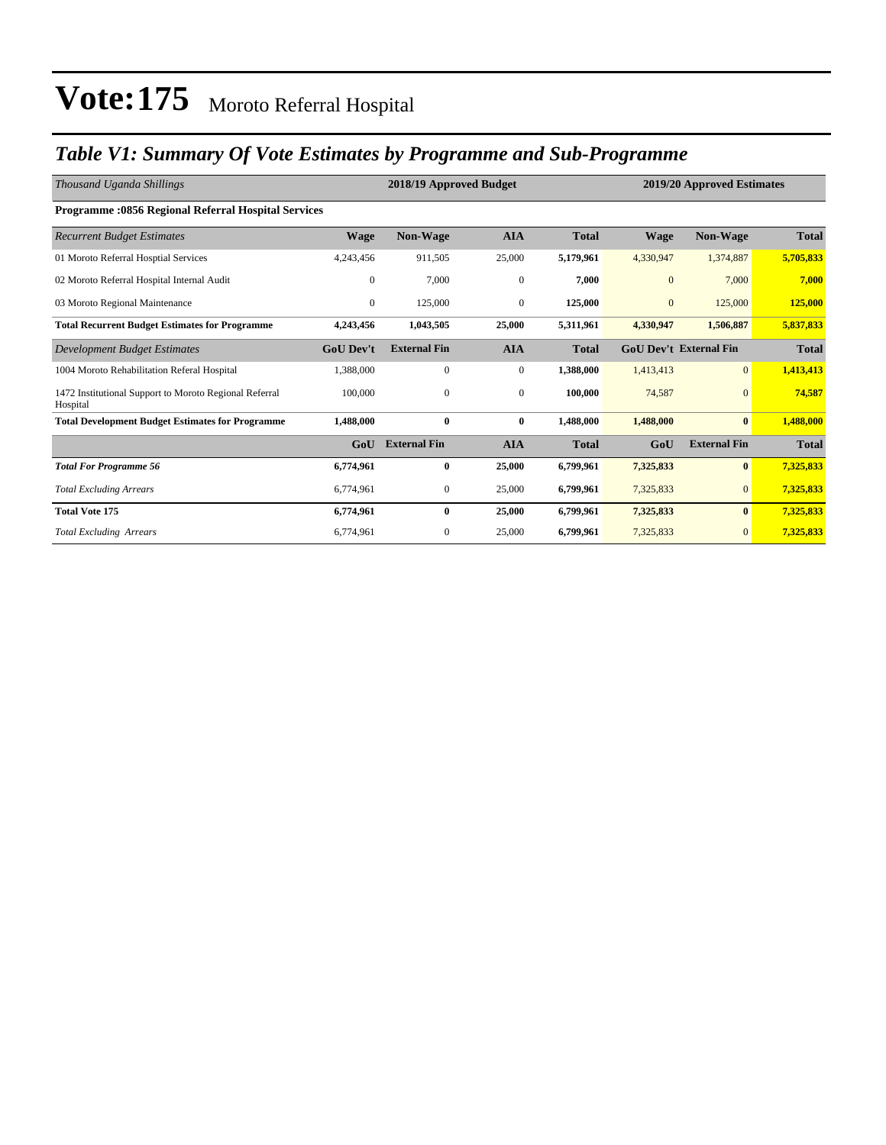### *Table V1: Summary Of Vote Estimates by Programme and Sub-Programme*

| Thousand Uganda Shillings                                          |                  | 2018/19 Approved Budget |              |              |              | 2019/20 Approved Estimates    |              |  |  |
|--------------------------------------------------------------------|------------------|-------------------------|--------------|--------------|--------------|-------------------------------|--------------|--|--|
| <b>Programme: 0856 Regional Referral Hospital Services</b>         |                  |                         |              |              |              |                               |              |  |  |
| <b>Recurrent Budget Estimates</b>                                  | <b>Wage</b>      | Non-Wage                | AIA          | <b>Total</b> | <b>Wage</b>  | <b>Non-Wage</b>               | <b>Total</b> |  |  |
| 01 Moroto Referral Hosptial Services                               | 4,243,456        | 911,505                 | 25,000       | 5,179,961    | 4,330,947    | 1,374,887                     | 5,705,833    |  |  |
| 02 Moroto Referral Hospital Internal Audit                         | $\mathbf{0}$     | 7,000                   | $\mathbf{0}$ | 7,000        | $\mathbf{0}$ | 7,000                         | 7,000        |  |  |
| 03 Moroto Regional Maintenance                                     | $\mathbf{0}$     | 125,000                 | $\mathbf{0}$ | 125,000      | $\mathbf{0}$ | 125,000                       | 125,000      |  |  |
| <b>Total Recurrent Budget Estimates for Programme</b>              | 4,243,456        | 1,043,505               | 25,000       | 5,311,961    | 4,330,947    | 1,506,887                     | 5,837,833    |  |  |
| Development Budget Estimates                                       | <b>GoU Dev't</b> | <b>External Fin</b>     | <b>AIA</b>   | <b>Total</b> |              | <b>GoU Dev't External Fin</b> | <b>Total</b> |  |  |
| 1004 Moroto Rehabilitation Referal Hospital                        | 1,388,000        | $\mathbf{0}$            | $\mathbf{0}$ | 1,388,000    | 1,413,413    | $\overline{0}$                | 1,413,413    |  |  |
| 1472 Institutional Support to Moroto Regional Referral<br>Hospital | 100,000          | $\mathbf{0}$            | $\mathbf{0}$ | 100,000      | 74,587       | $\overline{0}$                | 74,587       |  |  |
| <b>Total Development Budget Estimates for Programme</b>            | 1,488,000        | $\bf{0}$                | $\bf{0}$     | 1,488,000    | 1,488,000    | $\bf{0}$                      | 1,488,000    |  |  |
|                                                                    | GoU              | <b>External Fin</b>     | <b>AIA</b>   | <b>Total</b> | GoU          | <b>External Fin</b>           | <b>Total</b> |  |  |
| <b>Total For Programme 56</b>                                      | 6,774,961        | $\bf{0}$                | 25,000       | 6,799,961    | 7,325,833    | $\bf{0}$                      | 7,325,833    |  |  |
| <b>Total Excluding Arrears</b>                                     | 6,774,961        | $\mathbf{0}$            | 25,000       | 6,799,961    | 7,325,833    | $\overline{0}$                | 7,325,833    |  |  |
| <b>Total Vote 175</b>                                              | 6,774,961        | $\bf{0}$                | 25,000       | 6,799,961    | 7,325,833    | $\bf{0}$                      | 7,325,833    |  |  |
| <b>Total Excluding Arrears</b>                                     | 6,774,961        | $\mathbf{0}$            | 25,000       | 6,799,961    | 7,325,833    | $\overline{0}$                | 7,325,833    |  |  |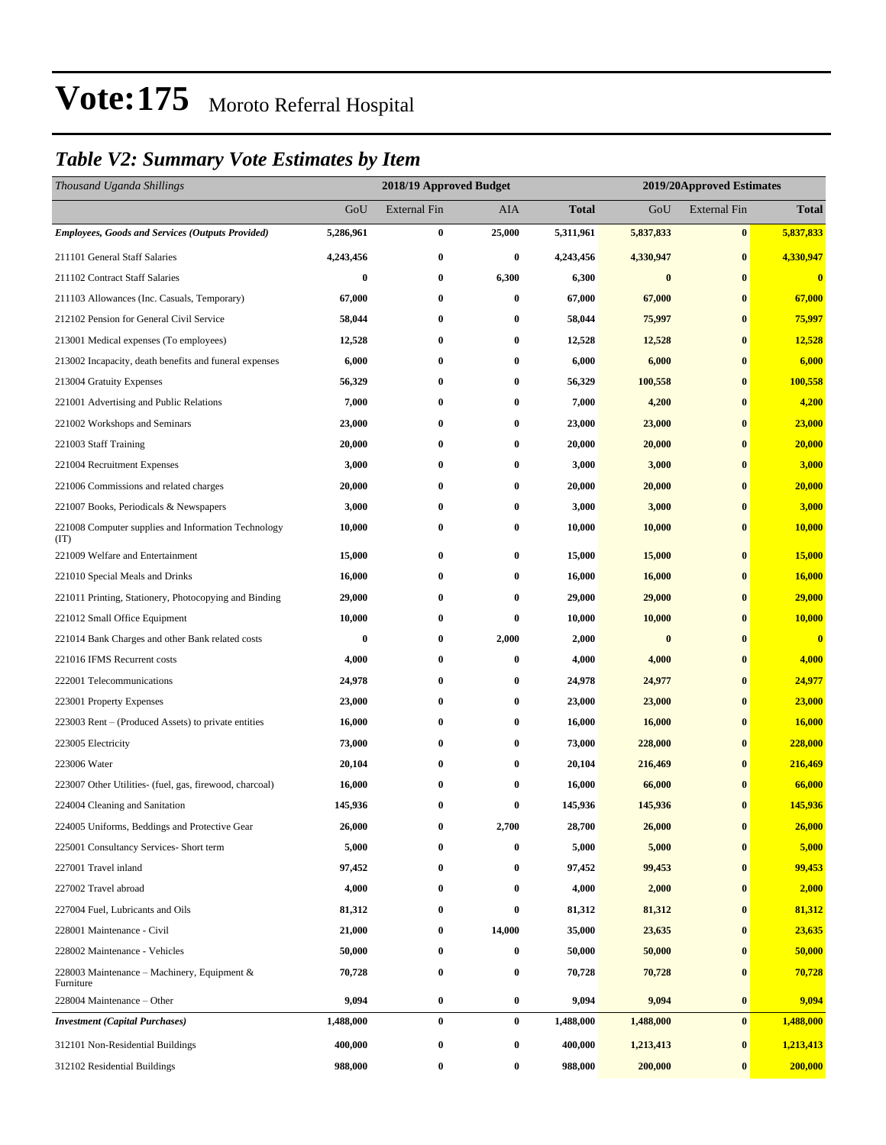### *Table V2: Summary Vote Estimates by Item*

| Thousand Uganda Shillings                                   |           | 2018/19 Approved Budget |          |           |                  | 2019/20Approved Estimates |              |
|-------------------------------------------------------------|-----------|-------------------------|----------|-----------|------------------|---------------------------|--------------|
|                                                             | GoU       | <b>External Fin</b>     | AIA      | Total     | GoU              | <b>External Fin</b>       | <b>Total</b> |
| <b>Employees, Goods and Services (Outputs Provided)</b>     | 5,286,961 | $\bf{0}$                | 25,000   | 5,311,961 | 5,837,833        | $\bf{0}$                  | 5,837,833    |
| 211101 General Staff Salaries                               | 4,243,456 | $\bf{0}$                | $\bf{0}$ | 4,243,456 | 4,330,947        | $\bf{0}$                  | 4,330,947    |
| 211102 Contract Staff Salaries                              | $\bf{0}$  | $\bf{0}$                | 6,300    | 6,300     | $\bf{0}$         | $\bf{0}$                  | $\bf{0}$     |
| 211103 Allowances (Inc. Casuals, Temporary)                 | 67,000    | $\bf{0}$                | $\bf{0}$ | 67,000    | 67,000           | $\bf{0}$                  | 67,000       |
| 212102 Pension for General Civil Service                    | 58,044    | $\bf{0}$                | $\bf{0}$ | 58,044    | 75,997           | $\bf{0}$                  | 75,997       |
| 213001 Medical expenses (To employees)                      | 12,528    | $\bf{0}$                | $\bf{0}$ | 12,528    | 12,528           | $\bf{0}$                  | 12,528       |
| 213002 Incapacity, death benefits and funeral expenses      | 6,000     | $\bf{0}$                | $\bf{0}$ | 6,000     | 6,000            | $\bf{0}$                  | 6,000        |
| 213004 Gratuity Expenses                                    | 56,329    | $\bf{0}$                | $\bf{0}$ | 56,329    | 100,558          | $\bf{0}$                  | 100,558      |
| 221001 Advertising and Public Relations                     | 7,000     | $\bf{0}$                | $\bf{0}$ | 7,000     | 4,200            | $\bf{0}$                  | 4,200        |
| 221002 Workshops and Seminars                               | 23,000    | $\bf{0}$                | $\bf{0}$ | 23,000    | 23,000           | $\bf{0}$                  | 23,000       |
| 221003 Staff Training                                       | 20,000    | $\bf{0}$                | $\bf{0}$ | 20,000    | 20,000           | $\bf{0}$                  | 20,000       |
| 221004 Recruitment Expenses                                 | 3,000     | $\bf{0}$                | $\bf{0}$ | 3,000     | 3,000            | $\bf{0}$                  | 3,000        |
| 221006 Commissions and related charges                      | 20,000    | $\bf{0}$                | $\bf{0}$ | 20,000    | 20,000           | $\bf{0}$                  | 20,000       |
| 221007 Books, Periodicals & Newspapers                      | 3,000     | $\bf{0}$                | $\bf{0}$ | 3,000     | 3,000            | $\bf{0}$                  | 3,000        |
| 221008 Computer supplies and Information Technology<br>(TT) | 10,000    | $\bf{0}$                | $\bf{0}$ | 10,000    | 10,000           | $\bf{0}$                  | 10,000       |
| 221009 Welfare and Entertainment                            | 15,000    | $\bf{0}$                | $\bf{0}$ | 15,000    | 15,000           | $\bf{0}$                  | 15,000       |
| 221010 Special Meals and Drinks                             | 16,000    | $\bf{0}$                | $\bf{0}$ | 16,000    | 16,000           | $\bf{0}$                  | 16,000       |
| 221011 Printing, Stationery, Photocopying and Binding       | 29,000    | $\bf{0}$                | $\bf{0}$ | 29,000    | 29,000           | $\bf{0}$                  | 29,000       |
| 221012 Small Office Equipment                               | 10,000    | $\bf{0}$                | $\bf{0}$ | 10,000    | 10,000           | $\bf{0}$                  | 10,000       |
| 221014 Bank Charges and other Bank related costs            | $\bf{0}$  | $\boldsymbol{0}$        | 2,000    | 2,000     | $\boldsymbol{0}$ | $\bf{0}$                  | $\bf{0}$     |
| 221016 IFMS Recurrent costs                                 | 4,000     | $\bf{0}$                | $\bf{0}$ | 4,000     | 4,000            | $\bf{0}$                  | 4,000        |
| 222001 Telecommunications                                   | 24,978    | $\bf{0}$                | $\bf{0}$ | 24,978    | 24,977           | $\bf{0}$                  | 24,977       |
| 223001 Property Expenses                                    | 23,000    | $\bf{0}$                | $\bf{0}$ | 23,000    | 23,000           | $\bf{0}$                  | 23,000       |
| 223003 Rent – (Produced Assets) to private entities         | 16,000    | $\bf{0}$                | $\bf{0}$ | 16,000    | 16,000           | $\bf{0}$                  | 16,000       |
| 223005 Electricity                                          | 73,000    | $\bf{0}$                | $\bf{0}$ | 73,000    | 228,000          | $\bf{0}$                  | 228,000      |
| 223006 Water                                                | 20,104    | 0                       | $\bf{0}$ | 20,104    | 216,469          | $\bf{0}$                  | 216,469      |
| 223007 Other Utilities- (fuel, gas, firewood, charcoal)     | 16,000    | 0                       | $\bf{0}$ | 16,000    | 66,000           | $\bf{0}$                  | 66,000       |
| 224004 Cleaning and Sanitation                              | 145,936   | $\bf{0}$                | $\bf{0}$ | 145,936   | 145,936          | $\bf{0}$                  | 145,936      |
| 224005 Uniforms, Beddings and Protective Gear               | 26,000    | 0                       | 2,700    | 28,700    | 26,000           | $\bf{0}$                  | 26,000       |
| 225001 Consultancy Services- Short term                     | 5,000     | $\bf{0}$                | 0        | 5,000     | 5,000            | $\bf{0}$                  | 5,000        |
| 227001 Travel inland                                        | 97,452    | 0                       | $\bf{0}$ | 97,452    | 99,453           | $\bf{0}$                  | 99,453       |
| 227002 Travel abroad                                        | 4,000     | 0                       | $\bf{0}$ | 4,000     | 2,000            | $\bf{0}$                  | 2,000        |
| 227004 Fuel, Lubricants and Oils                            | 81,312    | $\bf{0}$                | $\bf{0}$ | 81,312    | 81,312           | $\bf{0}$                  | 81,312       |
| 228001 Maintenance - Civil                                  | 21,000    | $\bf{0}$                | 14,000   | 35,000    | 23,635           | $\bf{0}$                  | 23,635       |
| 228002 Maintenance - Vehicles                               | 50,000    | $\boldsymbol{0}$        | $\bf{0}$ | 50,000    | 50,000           | $\bf{0}$                  | 50,000       |
| 228003 Maintenance – Machinery, Equipment $\&$<br>Furniture | 70,728    | $\boldsymbol{0}$        | $\bf{0}$ | 70,728    | 70,728           | $\bf{0}$                  | 70,728       |
| 228004 Maintenance - Other                                  | 9,094     | $\boldsymbol{0}$        | $\bf{0}$ | 9,094     | 9,094            | $\bf{0}$                  | 9,094        |
| <b>Investment</b> (Capital Purchases)                       | 1,488,000 | $\bf{0}$                | $\bf{0}$ | 1,488,000 | 1,488,000        | $\bf{0}$                  | 1,488,000    |
| 312101 Non-Residential Buildings                            | 400,000   | 0                       | $\bf{0}$ | 400,000   | 1,213,413        | $\bf{0}$                  | 1,213,413    |
| 312102 Residential Buildings                                | 988,000   | $\bf{0}$                | $\bf{0}$ | 988,000   | 200,000          | $\bf{0}$                  | 200,000      |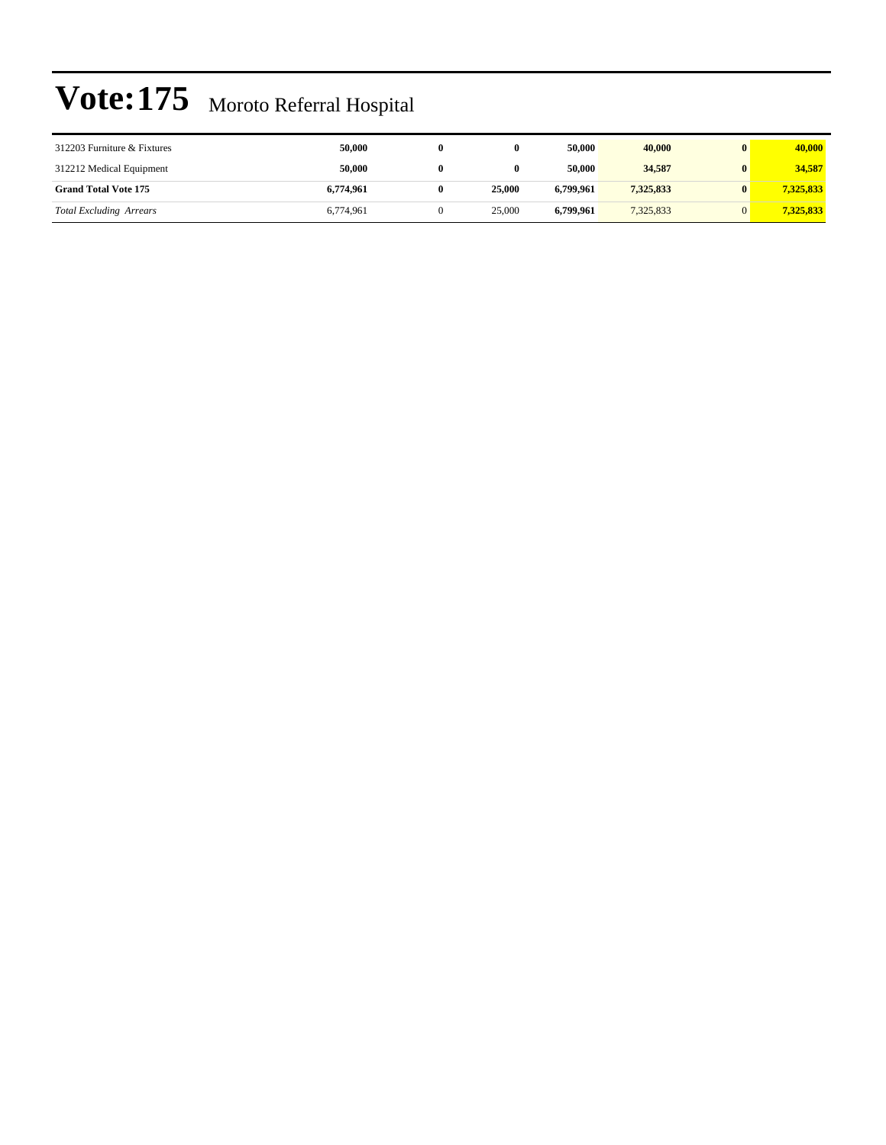| 312203 Furniture & Fixtures    | 50,000    |        | 50,000    | 40,000    | $\mathbf{0}$ | 40,000    |
|--------------------------------|-----------|--------|-----------|-----------|--------------|-----------|
| 312212 Medical Equipment       | 50.000    |        | 50,000    | 34,587    | $\mathbf{0}$ | 34,587    |
| <b>Grand Total Vote 175</b>    | 6.774.961 | 25,000 | 6.799.961 | 7,325,833 |              | 7,325,833 |
| <b>Total Excluding Arrears</b> | 6,774,961 | 25,000 | 6.799.961 | 7,325,833 |              | 7,325,833 |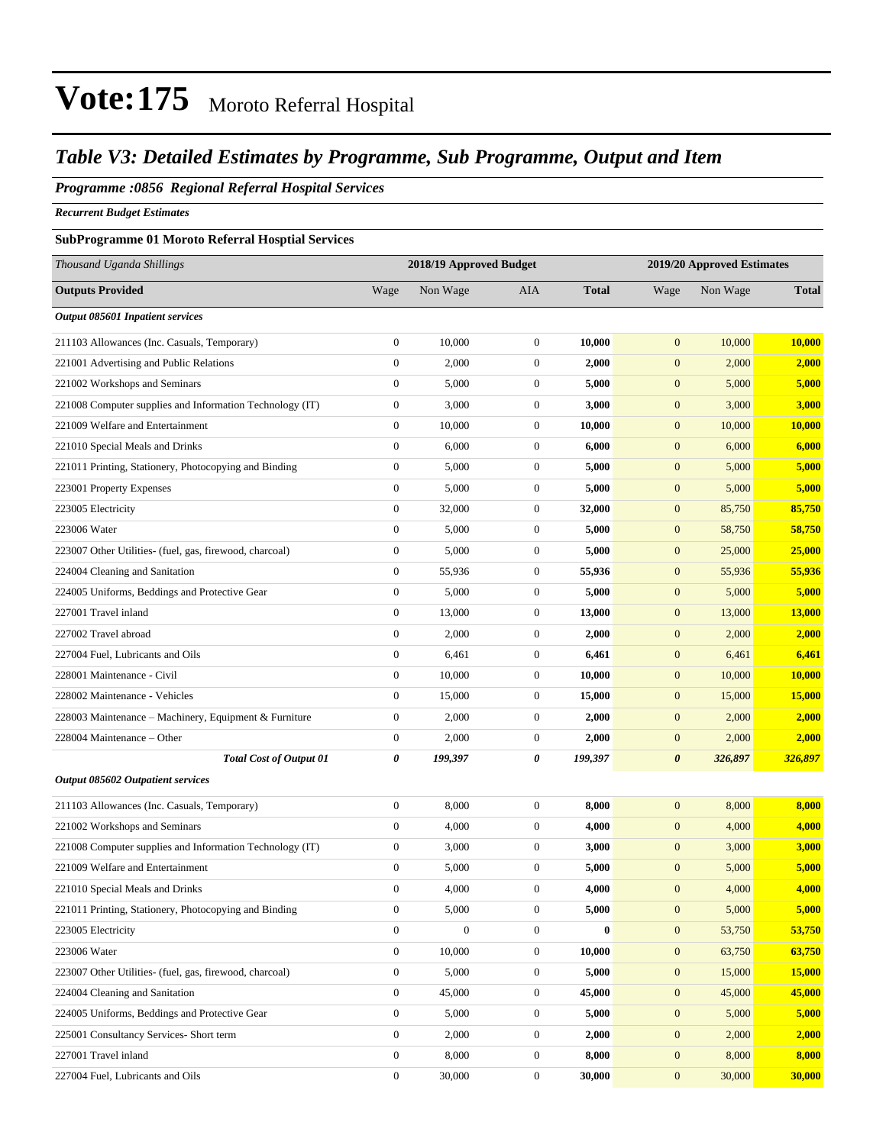### *Table V3: Detailed Estimates by Programme, Sub Programme, Output and Item*

#### *Programme :0856 Regional Referral Hospital Services*

*Recurrent Budget Estimates*

### **SubProgramme 01 Moroto Referral Hosptial Services**

| Thousand Uganda Shillings                                |                  | 2018/19 Approved Budget |                  |              |                       | 2019/20 Approved Estimates |              |
|----------------------------------------------------------|------------------|-------------------------|------------------|--------------|-----------------------|----------------------------|--------------|
| <b>Outputs Provided</b>                                  | Wage             | Non Wage                | AIA              | <b>Total</b> | Wage                  | Non Wage                   | <b>Total</b> |
| <b>Output 085601 Inpatient services</b>                  |                  |                         |                  |              |                       |                            |              |
| 211103 Allowances (Inc. Casuals, Temporary)              | $\boldsymbol{0}$ | 10,000                  | $\boldsymbol{0}$ | 10,000       | $\boldsymbol{0}$      | 10,000                     | 10,000       |
| 221001 Advertising and Public Relations                  | $\boldsymbol{0}$ | 2,000                   | $\boldsymbol{0}$ | 2,000        | $\boldsymbol{0}$      | 2,000                      | 2,000        |
| 221002 Workshops and Seminars                            | $\boldsymbol{0}$ | 5,000                   | $\boldsymbol{0}$ | 5,000        | $\mathbf{0}$          | 5,000                      | 5,000        |
| 221008 Computer supplies and Information Technology (IT) | $\boldsymbol{0}$ | 3,000                   | $\boldsymbol{0}$ | 3,000        | $\boldsymbol{0}$      | 3,000                      | 3,000        |
| 221009 Welfare and Entertainment                         | $\boldsymbol{0}$ | 10,000                  | $\boldsymbol{0}$ | 10,000       | $\boldsymbol{0}$      | 10,000                     | 10,000       |
| 221010 Special Meals and Drinks                          | $\boldsymbol{0}$ | 6,000                   | $\boldsymbol{0}$ | 6,000        | $\boldsymbol{0}$      | 6,000                      | 6,000        |
| 221011 Printing, Stationery, Photocopying and Binding    | $\boldsymbol{0}$ | 5,000                   | $\boldsymbol{0}$ | 5,000        | $\boldsymbol{0}$      | 5,000                      | 5,000        |
| 223001 Property Expenses                                 | $\boldsymbol{0}$ | 5,000                   | $\boldsymbol{0}$ | 5,000        | $\boldsymbol{0}$      | 5,000                      | 5,000        |
| 223005 Electricity                                       | $\boldsymbol{0}$ | 32,000                  | $\boldsymbol{0}$ | 32,000       | $\boldsymbol{0}$      | 85,750                     | 85,750       |
| 223006 Water                                             | $\boldsymbol{0}$ | 5,000                   | $\boldsymbol{0}$ | 5,000        | $\boldsymbol{0}$      | 58,750                     | 58,750       |
| 223007 Other Utilities- (fuel, gas, firewood, charcoal)  | $\boldsymbol{0}$ | 5,000                   | $\boldsymbol{0}$ | 5,000        | $\boldsymbol{0}$      | 25,000                     | 25,000       |
| 224004 Cleaning and Sanitation                           | $\boldsymbol{0}$ | 55,936                  | $\boldsymbol{0}$ | 55,936       | $\boldsymbol{0}$      | 55,936                     | 55,936       |
| 224005 Uniforms, Beddings and Protective Gear            | $\boldsymbol{0}$ | 5,000                   | $\boldsymbol{0}$ | 5,000        | $\mathbf{0}$          | 5,000                      | 5,000        |
| 227001 Travel inland                                     | $\boldsymbol{0}$ | 13,000                  | $\boldsymbol{0}$ | 13,000       | $\boldsymbol{0}$      | 13,000                     | 13,000       |
| 227002 Travel abroad                                     | $\boldsymbol{0}$ | 2,000                   | $\boldsymbol{0}$ | 2,000        | $\boldsymbol{0}$      | 2,000                      | 2,000        |
| 227004 Fuel, Lubricants and Oils                         | $\boldsymbol{0}$ | 6,461                   | $\boldsymbol{0}$ | 6,461        | $\boldsymbol{0}$      | 6,461                      | 6,461        |
| 228001 Maintenance - Civil                               | $\boldsymbol{0}$ | 10,000                  | $\boldsymbol{0}$ | 10,000       | $\boldsymbol{0}$      | 10,000                     | 10,000       |
| 228002 Maintenance - Vehicles                            | $\boldsymbol{0}$ | 15,000                  | $\boldsymbol{0}$ | 15,000       | $\boldsymbol{0}$      | 15,000                     | 15,000       |
| 228003 Maintenance - Machinery, Equipment & Furniture    | $\boldsymbol{0}$ | 2,000                   | $\boldsymbol{0}$ | 2,000        | $\boldsymbol{0}$      | 2,000                      | 2,000        |
| 228004 Maintenance – Other                               | $\boldsymbol{0}$ | 2,000                   | $\boldsymbol{0}$ | 2,000        | $\boldsymbol{0}$      | 2,000                      | 2,000        |
| <b>Total Cost of Output 01</b>                           | 0                | 199,397                 | 0                | 199,397      | $\boldsymbol{\theta}$ | 326,897                    | 326,897      |
| Output 085602 Outpatient services                        |                  |                         |                  |              |                       |                            |              |
| 211103 Allowances (Inc. Casuals, Temporary)              | $\boldsymbol{0}$ | 8,000                   | $\boldsymbol{0}$ | 8,000        | $\mathbf{0}$          | 8,000                      | 8,000        |
| 221002 Workshops and Seminars                            | $\boldsymbol{0}$ | 4,000                   | $\boldsymbol{0}$ | 4,000        | $\boldsymbol{0}$      | 4,000                      | 4,000        |
| 221008 Computer supplies and Information Technology (IT) | $\boldsymbol{0}$ | 3,000                   | $\boldsymbol{0}$ | 3,000        | $\boldsymbol{0}$      | 3,000                      | 3,000        |
| 221009 Welfare and Entertainment                         | $\boldsymbol{0}$ | 5,000                   | $\boldsymbol{0}$ | 5,000        | $\boldsymbol{0}$      | 5,000                      | 5,000        |
| 221010 Special Meals and Drinks                          | $\boldsymbol{0}$ | 4,000                   | $\boldsymbol{0}$ | 4,000        | $\mathbf{0}$          | 4,000                      | 4,000        |
| 221011 Printing, Stationery, Photocopying and Binding    | $\boldsymbol{0}$ | 5,000                   | $\boldsymbol{0}$ | 5,000        | $\mathbf{0}$          | 5,000                      | 5,000        |
| 223005 Electricity                                       | $\boldsymbol{0}$ | $\boldsymbol{0}$        | $\boldsymbol{0}$ | $\bf{0}$     | $\boldsymbol{0}$      | 53,750                     | 53,750       |
| 223006 Water                                             | $\boldsymbol{0}$ | 10,000                  | $\boldsymbol{0}$ | 10,000       | $\boldsymbol{0}$      | 63,750                     | 63,750       |
| 223007 Other Utilities- (fuel, gas, firewood, charcoal)  | $\boldsymbol{0}$ | 5,000                   | $\boldsymbol{0}$ | 5,000        | $\mathbf{0}$          | 15,000                     | 15,000       |
| 224004 Cleaning and Sanitation                           | $\boldsymbol{0}$ | 45,000                  | $\boldsymbol{0}$ | 45,000       | $\mathbf{0}$          | 45,000                     | 45,000       |
| 224005 Uniforms, Beddings and Protective Gear            | $\boldsymbol{0}$ | 5,000                   | $\boldsymbol{0}$ | 5,000        | $\mathbf{0}$          | 5,000                      | 5,000        |
| 225001 Consultancy Services- Short term                  | $\boldsymbol{0}$ | 2,000                   | $\boldsymbol{0}$ | 2,000        | $\boldsymbol{0}$      | 2,000                      | 2,000        |
| 227001 Travel inland                                     | $\boldsymbol{0}$ | 8,000                   | $\boldsymbol{0}$ | 8,000        | $\boldsymbol{0}$      | 8,000                      | 8,000        |
| 227004 Fuel, Lubricants and Oils                         | $\boldsymbol{0}$ | 30,000                  | $\boldsymbol{0}$ | 30,000       | $\boldsymbol{0}$      | 30,000                     | 30,000       |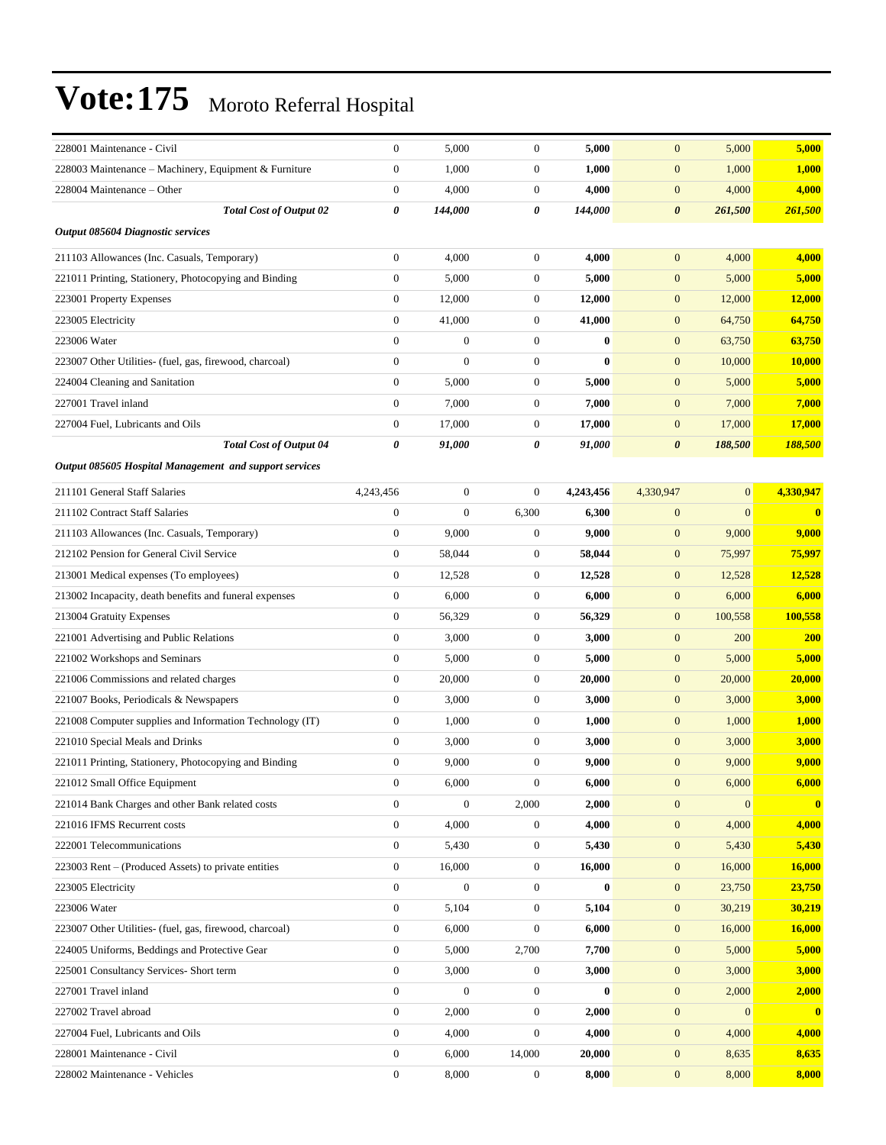| 228001 Maintenance - Civil                               | $\mathbf{0}$     | 5,000            | $\mathbf{0}$     | 5,000     | $\mathbf{0}$          | 5,000        | 5,000         |
|----------------------------------------------------------|------------------|------------------|------------------|-----------|-----------------------|--------------|---------------|
| 228003 Maintenance - Machinery, Equipment & Furniture    | $\boldsymbol{0}$ | 1,000            | $\mathbf{0}$     | 1,000     | $\mathbf{0}$          | 1,000        | 1,000         |
| 228004 Maintenance - Other                               | $\boldsymbol{0}$ | 4,000            | $\boldsymbol{0}$ | 4,000     | $\boldsymbol{0}$      | 4,000        | 4,000         |
| <b>Total Cost of Output 02</b>                           | 0                | 144,000          | 0                | 144,000   | $\boldsymbol{\theta}$ | 261,500      | 261,500       |
| Output 085604 Diagnostic services                        |                  |                  |                  |           |                       |              |               |
| 211103 Allowances (Inc. Casuals, Temporary)              | $\boldsymbol{0}$ | 4,000            | $\boldsymbol{0}$ | 4,000     | $\mathbf{0}$          | 4,000        | 4,000         |
| 221011 Printing, Stationery, Photocopying and Binding    | $\mathbf{0}$     | 5,000            | $\mathbf{0}$     | 5,000     | $\boldsymbol{0}$      | 5,000        | 5,000         |
| 223001 Property Expenses                                 | $\boldsymbol{0}$ | 12,000           | $\mathbf{0}$     | 12,000    | $\mathbf{0}$          | 12,000       | 12,000        |
| 223005 Electricity                                       | $\boldsymbol{0}$ | 41,000           | $\boldsymbol{0}$ | 41,000    | $\boldsymbol{0}$      | 64,750       | 64,750        |
| 223006 Water                                             | $\boldsymbol{0}$ | $\mathbf{0}$     | $\boldsymbol{0}$ | $\bf{0}$  | $\boldsymbol{0}$      | 63,750       | 63,750        |
| 223007 Other Utilities- (fuel, gas, firewood, charcoal)  | $\boldsymbol{0}$ | $\mathbf{0}$     | $\mathbf{0}$     | $\bf{0}$  | $\boldsymbol{0}$      | 10,000       | <b>10,000</b> |
| 224004 Cleaning and Sanitation                           | $\mathbf{0}$     | 5,000            | $\mathbf{0}$     | 5,000     | $\boldsymbol{0}$      | 5,000        | 5,000         |
| 227001 Travel inland                                     | $\mathbf{0}$     | 7,000            | $\mathbf{0}$     | 7,000     | $\mathbf{0}$          | 7,000        | 7,000         |
| 227004 Fuel, Lubricants and Oils                         | $\boldsymbol{0}$ | 17,000           | $\boldsymbol{0}$ | 17,000    | $\boldsymbol{0}$      | 17,000       | 17,000        |
| <b>Total Cost of Output 04</b>                           | 0                | 91,000           | 0                | 91,000    | $\boldsymbol{\theta}$ | 188,500      | 188,500       |
| Output 085605 Hospital Management and support services   |                  |                  |                  |           |                       |              |               |
| 211101 General Staff Salaries                            | 4,243,456        | $\boldsymbol{0}$ | $\mathbf{0}$     | 4,243,456 | 4,330,947             | $\mathbf{0}$ | 4,330,947     |
| 211102 Contract Staff Salaries                           | $\boldsymbol{0}$ | $\mathbf{0}$     | 6,300            | 6,300     | $\boldsymbol{0}$      | $\mathbf{0}$ | $\bf{0}$      |
| 211103 Allowances (Inc. Casuals, Temporary)              | $\boldsymbol{0}$ | 9,000            | $\mathbf{0}$     | 9,000     | $\mathbf{0}$          | 9,000        | 9,000         |
| 212102 Pension for General Civil Service                 | $\boldsymbol{0}$ | 58,044           | $\mathbf{0}$     | 58,044    | $\boldsymbol{0}$      | 75,997       | 75,997        |
| 213001 Medical expenses (To employees)                   | $\boldsymbol{0}$ | 12,528           | $\mathbf{0}$     | 12,528    | $\boldsymbol{0}$      | 12,528       | 12,528        |
| 213002 Incapacity, death benefits and funeral expenses   | $\boldsymbol{0}$ | 6,000            | $\boldsymbol{0}$ | 6,000     | $\boldsymbol{0}$      | 6,000        | 6,000         |
| 213004 Gratuity Expenses                                 | $\boldsymbol{0}$ | 56,329           | $\boldsymbol{0}$ | 56,329    | $\boldsymbol{0}$      | 100,558      | 100,558       |
| 221001 Advertising and Public Relations                  | $\boldsymbol{0}$ | 3,000            | $\mathbf{0}$     | 3,000     | $\mathbf{0}$          | 200          | <b>200</b>    |
| 221002 Workshops and Seminars                            | $\boldsymbol{0}$ | 5,000            | $\boldsymbol{0}$ | 5,000     | $\boldsymbol{0}$      | 5,000        | 5,000         |
| 221006 Commissions and related charges                   | $\boldsymbol{0}$ | 20,000           | $\boldsymbol{0}$ | 20,000    | $\boldsymbol{0}$      | 20,000       | 20,000        |
| 221007 Books, Periodicals & Newspapers                   | $\boldsymbol{0}$ | 3,000            | $\boldsymbol{0}$ | 3,000     | $\mathbf{0}$          | 3,000        | 3,000         |
| 221008 Computer supplies and Information Technology (IT) | $\boldsymbol{0}$ | 1,000            | $\boldsymbol{0}$ | 1,000     | $\boldsymbol{0}$      | 1,000        | 1,000         |
| 221010 Special Meals and Drinks                          | $\boldsymbol{0}$ | 3,000            | $\mathbf{0}$     | 3,000     | $\mathbf{0}$          | 3,000        | 3,000         |
| 221011 Printing, Stationery, Photocopying and Binding    | $\boldsymbol{0}$ | 9,000            | $\mathbf{0}$     | 9,000     | $\mathbf{0}$          | 9,000        | 9,000         |
| 221012 Small Office Equipment                            | $\boldsymbol{0}$ | 6,000            | $\boldsymbol{0}$ | 6,000     | $\boldsymbol{0}$      | 6,000        | 6,000         |
| 221014 Bank Charges and other Bank related costs         | $\boldsymbol{0}$ | $\boldsymbol{0}$ | 2,000            | 2,000     | $\mathbf{0}$          | $\mathbf{0}$ | $\bf{0}$      |
| 221016 IFMS Recurrent costs                              | $\boldsymbol{0}$ | 4,000            | $\mathbf{0}$     | 4,000     | $\boldsymbol{0}$      | 4,000        | 4,000         |
| 222001 Telecommunications                                | $\boldsymbol{0}$ | 5,430            | $\boldsymbol{0}$ | 5,430     | $\mathbf{0}$          | 5,430        | 5,430         |
| 223003 Rent – (Produced Assets) to private entities      | $\boldsymbol{0}$ | 16,000           | $\boldsymbol{0}$ | 16,000    | $\boldsymbol{0}$      | 16,000       | 16,000        |
| 223005 Electricity                                       | $\boldsymbol{0}$ | $\boldsymbol{0}$ | $\boldsymbol{0}$ | $\bf{0}$  | $\mathbf{0}$          | 23,750       | 23,750        |
| 223006 Water                                             | $\mathbf{0}$     | 5,104            | $\boldsymbol{0}$ | 5,104     | $\boldsymbol{0}$      | 30,219       | 30,219        |
| 223007 Other Utilities- (fuel, gas, firewood, charcoal)  | $\boldsymbol{0}$ | 6,000            | $\boldsymbol{0}$ | 6,000     | $\mathbf{0}$          | 16,000       | 16,000        |
| 224005 Uniforms, Beddings and Protective Gear            | $\boldsymbol{0}$ | 5,000            | 2,700            | 7,700     | $\mathbf{0}$          | 5,000        | 5,000         |
| 225001 Consultancy Services- Short term                  | $\boldsymbol{0}$ | 3,000            | $\boldsymbol{0}$ | 3,000     | $\mathbf{0}$          | 3,000        | 3,000         |
| 227001 Travel inland                                     | $\boldsymbol{0}$ | $\boldsymbol{0}$ | $\boldsymbol{0}$ | $\bf{0}$  | $\mathbf{0}$          | 2,000        | 2,000         |
| 227002 Travel abroad                                     | $\boldsymbol{0}$ | 2,000            | $\boldsymbol{0}$ | 2,000     | $\mathbf{0}$          | $\mathbf{0}$ | $\bf{0}$      |
| 227004 Fuel, Lubricants and Oils                         | $\boldsymbol{0}$ | 4,000            | $\boldsymbol{0}$ | 4,000     | $\mathbf{0}$          | 4,000        | 4,000         |
| 228001 Maintenance - Civil                               | $\boldsymbol{0}$ | 6,000            | 14,000           | 20,000    | $\mathbf{0}$          | 8,635        | 8,635         |
| 228002 Maintenance - Vehicles                            | $\boldsymbol{0}$ | 8,000            | $\boldsymbol{0}$ | 8,000     | $\boldsymbol{0}$      | 8,000        | 8,000         |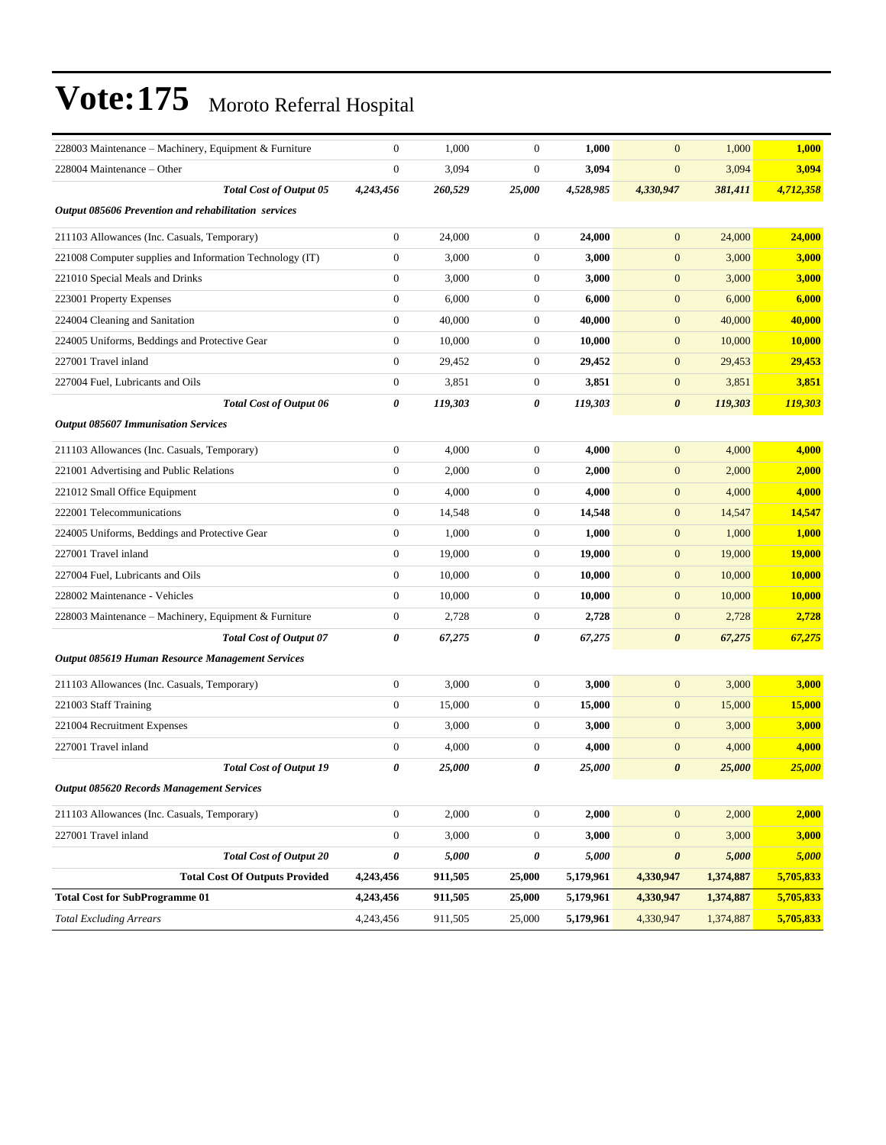| 228003 Maintenance – Machinery, Equipment & Furniture    | $\mathbf{0}$     | 1,000   | $\boldsymbol{0}$      | 1,000     | $\mathbf{0}$          | 1,000     | 1,000         |
|----------------------------------------------------------|------------------|---------|-----------------------|-----------|-----------------------|-----------|---------------|
| 228004 Maintenance – Other                               | $\overline{0}$   | 3,094   | $\boldsymbol{0}$      | 3,094     | $\overline{0}$        | 3,094     | 3,094         |
| <b>Total Cost of Output 05</b>                           | 4,243,456        | 260,529 | 25,000                | 4,528,985 | 4,330,947             | 381,411   | 4,712,358     |
| Output 085606 Prevention and rehabilitation services     |                  |         |                       |           |                       |           |               |
| 211103 Allowances (Inc. Casuals, Temporary)              | $\boldsymbol{0}$ | 24,000  | $\mathbf{0}$          | 24,000    | $\mathbf{0}$          | 24,000    | 24,000        |
| 221008 Computer supplies and Information Technology (IT) | $\boldsymbol{0}$ | 3,000   | $\boldsymbol{0}$      | 3,000     | $\boldsymbol{0}$      | 3,000     | 3,000         |
| 221010 Special Meals and Drinks                          | $\boldsymbol{0}$ | 3,000   | $\boldsymbol{0}$      | 3,000     | $\mathbf{0}$          | 3,000     | 3,000         |
| 223001 Property Expenses                                 | $\boldsymbol{0}$ | 6,000   | $\boldsymbol{0}$      | 6,000     | $\boldsymbol{0}$      | 6,000     | 6,000         |
| 224004 Cleaning and Sanitation                           | $\boldsymbol{0}$ | 40,000  | $\boldsymbol{0}$      | 40,000    | $\mathbf{0}$          | 40,000    | 40,000        |
| 224005 Uniforms, Beddings and Protective Gear            | $\boldsymbol{0}$ | 10,000  | $\boldsymbol{0}$      | 10,000    | $\mathbf{0}$          | 10,000    | 10,000        |
| 227001 Travel inland                                     | $\boldsymbol{0}$ | 29,452  | $\boldsymbol{0}$      | 29,452    | $\boldsymbol{0}$      | 29,453    | 29,453        |
| 227004 Fuel, Lubricants and Oils                         | $\boldsymbol{0}$ | 3,851   | $\boldsymbol{0}$      | 3,851     | $\mathbf{0}$          | 3,851     | 3,851         |
| <b>Total Cost of Output 06</b>                           | 0                | 119,303 | 0                     | 119,303   | $\boldsymbol{\theta}$ | 119,303   | 119,303       |
| <b>Output 085607 Immunisation Services</b>               |                  |         |                       |           |                       |           |               |
| 211103 Allowances (Inc. Casuals, Temporary)              | $\boldsymbol{0}$ | 4,000   | $\mathbf{0}$          | 4,000     | $\mathbf{0}$          | 4,000     | 4,000         |
| 221001 Advertising and Public Relations                  | $\boldsymbol{0}$ | 2,000   | $\mathbf{0}$          | 2,000     | $\mathbf{0}$          | 2,000     | 2,000         |
| 221012 Small Office Equipment                            | $\boldsymbol{0}$ | 4,000   | $\boldsymbol{0}$      | 4,000     | $\boldsymbol{0}$      | 4,000     | 4,000         |
| 222001 Telecommunications                                | $\boldsymbol{0}$ | 14,548  | $\boldsymbol{0}$      | 14,548    | $\mathbf{0}$          | 14,547    | 14,547        |
| 224005 Uniforms, Beddings and Protective Gear            | $\boldsymbol{0}$ | 1,000   | $\boldsymbol{0}$      | 1,000     | $\boldsymbol{0}$      | 1,000     | 1,000         |
| 227001 Travel inland                                     | $\mathbf{0}$     | 19,000  | $\mathbf{0}$          | 19,000    | $\boldsymbol{0}$      | 19,000    | <b>19,000</b> |
| 227004 Fuel, Lubricants and Oils                         | $\boldsymbol{0}$ | 10,000  | $\mathbf{0}$          | 10,000    | $\mathbf{0}$          | 10,000    | 10,000        |
| 228002 Maintenance - Vehicles                            | $\boldsymbol{0}$ | 10,000  | $\boldsymbol{0}$      | 10,000    | $\boldsymbol{0}$      | 10,000    | 10,000        |
| 228003 Maintenance – Machinery, Equipment & Furniture    | $\boldsymbol{0}$ | 2,728   | $\boldsymbol{0}$      | 2,728     | $\mathbf{0}$          | 2,728     | 2,728         |
| <b>Total Cost of Output 07</b>                           | 0                | 67,275  | $\boldsymbol{\theta}$ | 67,275    | $\boldsymbol{\theta}$ | 67,275    | <u>67,275</u> |
| Output 085619 Human Resource Management Services         |                  |         |                       |           |                       |           |               |
| 211103 Allowances (Inc. Casuals, Temporary)              | $\boldsymbol{0}$ | 3,000   | $\boldsymbol{0}$      | 3,000     | $\mathbf{0}$          | 3,000     | 3,000         |
| 221003 Staff Training                                    | $\boldsymbol{0}$ | 15,000  | $\boldsymbol{0}$      | 15,000    | $\mathbf{0}$          | 15,000    | 15,000        |
| 221004 Recruitment Expenses                              | $\boldsymbol{0}$ | 3,000   | $\boldsymbol{0}$      | 3,000     | $\boldsymbol{0}$      | 3,000     | 3,000         |
| 227001 Travel inland                                     | $\mathbf{0}$     | 4,000   | $\boldsymbol{0}$      | 4,000     | $\mathbf{0}$          | 4,000     | 4,000         |
| <b>Total Cost of Output 19</b>                           | 0                | 25,000  | $\boldsymbol{\theta}$ | 25,000    | $\boldsymbol{\theta}$ | 25,000    | 25,000        |
| <b>Output 085620 Records Management Services</b>         |                  |         |                       |           |                       |           |               |
| 211103 Allowances (Inc. Casuals, Temporary)              | $\boldsymbol{0}$ | 2,000   | $\boldsymbol{0}$      | 2,000     | $\mathbf{0}$          | 2,000     | 2,000         |
| 227001 Travel inland                                     | $\boldsymbol{0}$ | 3,000   | $\boldsymbol{0}$      | 3,000     | $\mathbf{0}$          | 3,000     | 3,000         |
| <b>Total Cost of Output 20</b>                           | $\pmb{\theta}$   | 5,000   | 0                     | 5,000     | $\boldsymbol{\theta}$ | 5,000     | 5,000         |
| <b>Total Cost Of Outputs Provided</b>                    | 4,243,456        | 911,505 | 25,000                | 5,179,961 | 4,330,947             | 1,374,887 | 5,705,833     |
| <b>Total Cost for SubProgramme 01</b>                    | 4,243,456        | 911,505 | 25,000                | 5,179,961 | 4,330,947             | 1,374,887 | 5,705,833     |
| <b>Total Excluding Arrears</b>                           | 4,243,456        | 911,505 | 25,000                | 5,179,961 | 4,330,947             | 1,374,887 | 5,705,833     |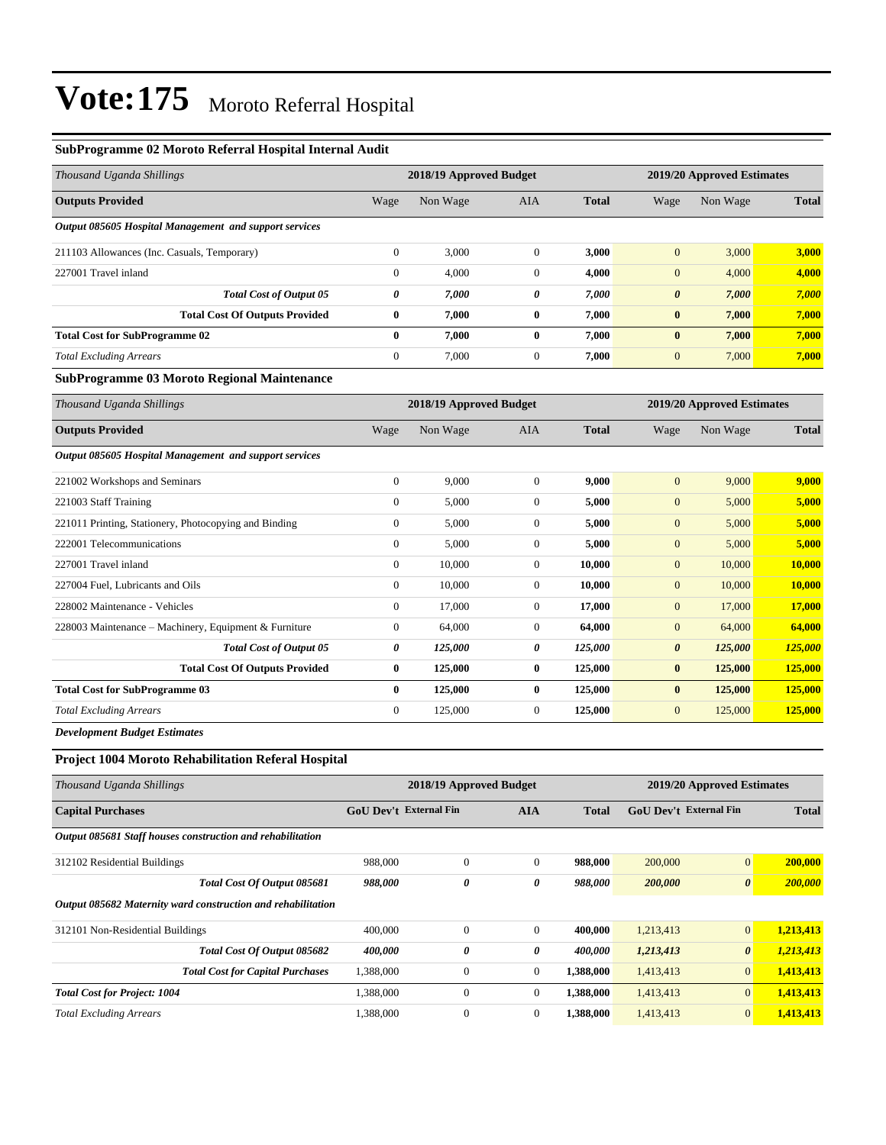#### **SubProgramme 02 Moroto Referral Hospital Internal Audit**

| Thousand Uganda Shillings                              |              | 2018/19 Approved Budget |              | 2019/20 Approved Estimates |                       |          |              |  |  |  |
|--------------------------------------------------------|--------------|-------------------------|--------------|----------------------------|-----------------------|----------|--------------|--|--|--|
| <b>Outputs Provided</b>                                | Wage         | Non Wage                | <b>AIA</b>   | <b>Total</b>               | Wage                  | Non Wage | <b>Total</b> |  |  |  |
| Output 085605 Hospital Management and support services |              |                         |              |                            |                       |          |              |  |  |  |
| 211103 Allowances (Inc. Casuals, Temporary)            | $\mathbf{0}$ | 3,000                   | $\theta$     | 3,000                      | $\mathbf{0}$          | 3,000    | 3,000        |  |  |  |
| 227001 Travel inland                                   | $\mathbf{0}$ | 4,000                   | $\theta$     | 4,000                      | $\mathbf{0}$          | 4,000    | 4,000        |  |  |  |
| <b>Total Cost of Output 05</b>                         | 0            | 7,000                   | 0            | 7,000                      | $\boldsymbol{\theta}$ | 7,000    | 7,000        |  |  |  |
| <b>Total Cost Of Outputs Provided</b>                  | $\bf{0}$     | 7,000                   | $\bf{0}$     | 7,000                      | $\bf{0}$              | 7,000    | 7,000        |  |  |  |
| <b>Total Cost for SubProgramme 02</b>                  | $\bf{0}$     | 7,000                   | $\mathbf{0}$ | 7,000                      | $\bf{0}$              | 7,000    | 7,000        |  |  |  |
| <b>Total Excluding Arrears</b>                         | $\mathbf{0}$ | 7,000                   | $\theta$     | 7,000                      | $\mathbf{0}$          | 7,000    | 7,000        |  |  |  |
| <b>SubProgramme 03 Moroto Regional Maintenance</b>     |              |                         |              |                            |                       |          |              |  |  |  |

| Thousand Uganda Shillings                              |                | 2018/19 Approved Budget |                |              |                  | 2019/20 Approved Estimates |              |
|--------------------------------------------------------|----------------|-------------------------|----------------|--------------|------------------|----------------------------|--------------|
| <b>Outputs Provided</b>                                | Wage           | Non Wage                | AIA            | <b>Total</b> | Wage             | Non Wage                   | <b>Total</b> |
| Output 085605 Hospital Management and support services |                |                         |                |              |                  |                            |              |
| 221002 Workshops and Seminars                          | $\mathbf{0}$   | 9,000                   | $\overline{0}$ | 9,000        | $\mathbf{0}$     | 9,000                      | 9,000        |
| 221003 Staff Training                                  | $\mathbf{0}$   | 5,000                   | $\overline{0}$ | 5,000        | $\mathbf{0}$     | 5,000                      | 5,000        |
| 221011 Printing, Stationery, Photocopying and Binding  | $\overline{0}$ | 5,000                   | $\overline{0}$ | 5,000        | $\mathbf{0}$     | 5,000                      | 5,000        |
| 222001 Telecommunications                              | $\mathbf{0}$   | 5,000                   | $\overline{0}$ | 5,000        | $\overline{0}$   | 5,000                      | 5,000        |
| 227001 Travel inland                                   | $\overline{0}$ | 10,000                  | $\overline{0}$ | 10,000       | $\mathbf{0}$     | 10,000                     | 10,000       |
| 227004 Fuel, Lubricants and Oils                       | $\mathbf{0}$   | 10,000                  | $\overline{0}$ | 10,000       | $\boldsymbol{0}$ | 10,000                     | 10,000       |
| 228002 Maintenance - Vehicles                          | $\mathbf{0}$   | 17,000                  | $\Omega$       | 17,000       | $\overline{0}$   | 17,000                     | 17,000       |
| 228003 Maintenance – Machinery, Equipment & Furniture  | $\mathbf{0}$   | 64,000                  | $\overline{0}$ | 64,000       | $\mathbf{0}$     | 64,000                     | 64,000       |
| <b>Total Cost of Output 05</b>                         | 0              | 125,000                 | 0              | 125,000      | 0                | 125,000                    | 125,000      |
| <b>Total Cost Of Outputs Provided</b>                  | $\bf{0}$       | 125,000                 | $\bf{0}$       | 125,000      | $\bf{0}$         | 125,000                    | 125,000      |
| <b>Total Cost for SubProgramme 03</b>                  | $\bf{0}$       | 125,000                 | $\bf{0}$       | 125,000      | $\bf{0}$         | 125,000                    | 125,000      |
| <b>Total Excluding Arrears</b>                         | $\overline{0}$ | 125,000                 | $\overline{0}$ | 125,000      | $\mathbf{0}$     | 125,000                    | 125,000      |
| _ _ _ _ _ _                                            |                |                         |                |              |                  |                            |              |

*Development Budget Estimates*

### **Project 1004 Moroto Rehabilitation Referal Hospital**

| Thousand Uganda Shillings                                    |                               | 2018/19 Approved Budget |                |              | 2019/20 Approved Estimates    |                       |              |  |
|--------------------------------------------------------------|-------------------------------|-------------------------|----------------|--------------|-------------------------------|-----------------------|--------------|--|
| <b>Capital Purchases</b>                                     | <b>GoU Dev't External Fin</b> |                         | <b>AIA</b>     | <b>Total</b> | <b>GoU Dev't External Fin</b> |                       | <b>Total</b> |  |
| Output 085681 Staff houses construction and rehabilitation   |                               |                         |                |              |                               |                       |              |  |
| 312102 Residential Buildings                                 | 988,000                       | $\mathbf{0}$            | $\overline{0}$ | 988,000      | 200,000                       | $\mathbf{0}$          | 200,000      |  |
| Total Cost Of Output 085681                                  | 988,000                       | 0                       | 0              | 988,000      | 200,000                       | $\boldsymbol{\theta}$ | 200,000      |  |
| Output 085682 Maternity ward construction and rehabilitation |                               |                         |                |              |                               |                       |              |  |
| 312101 Non-Residential Buildings                             | 400,000                       | $\mathbf{0}$            | $\overline{0}$ | 400,000      | 1,213,413                     | $\mathbf{0}$          | 1,213,413    |  |
| Total Cost Of Output 085682                                  | 400,000                       | 0                       | 0              | 400,000      | 1,213,413                     | $\boldsymbol{\theta}$ | 1,213,413    |  |
| <b>Total Cost for Capital Purchases</b>                      | 1,388,000                     | $\mathbf{0}$            | $\overline{0}$ | 1,388,000    | 1,413,413                     | $\mathbf{0}$          | 1,413,413    |  |
| <b>Total Cost for Project: 1004</b>                          | 1,388,000                     | $\mathbf{0}$            | $\overline{0}$ | 1,388,000    | 1,413,413                     | $\overline{0}$        | 1,413,413    |  |
| <b>Total Excluding Arrears</b>                               | 1,388,000                     | $\mathbf{0}$            | $\mathbf{0}$   | 1.388.000    | 1,413,413                     | $\mathbf{0}$          | 1,413,413    |  |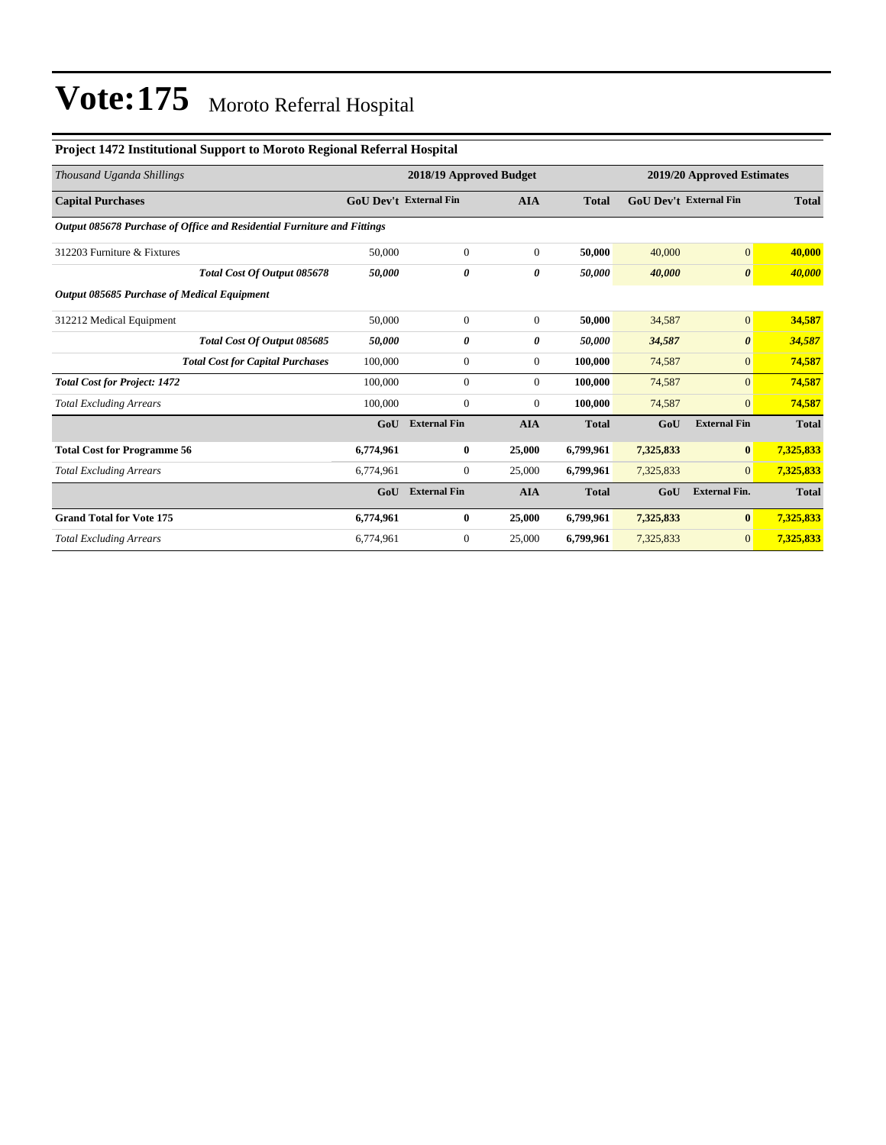#### **Project 1472 Institutional Support to Moroto Regional Referral Hospital**

| Thousand Uganda Shillings                                               |                        | 2018/19 Approved Budget |                |              | 2019/20 Approved Estimates    |                       |              |
|-------------------------------------------------------------------------|------------------------|-------------------------|----------------|--------------|-------------------------------|-----------------------|--------------|
| <b>Capital Purchases</b>                                                | GoU Dev't External Fin |                         | <b>AIA</b>     | <b>Total</b> | <b>GoU Dev't External Fin</b> |                       | <b>Total</b> |
| Output 085678 Purchase of Office and Residential Furniture and Fittings |                        |                         |                |              |                               |                       |              |
| 312203 Furniture & Fixtures                                             | 50,000                 | $\overline{0}$          | $\overline{0}$ | 50,000       | 40,000                        | $\mathbf{0}$          | 40,000       |
| Total Cost Of Output 085678                                             | 50,000                 | 0                       | 0              | 50,000       | 40,000                        | $\boldsymbol{\theta}$ | 40,000       |
| Output 085685 Purchase of Medical Equipment                             |                        |                         |                |              |                               |                       |              |
| 312212 Medical Equipment                                                | 50,000                 | $\overline{0}$          | $\overline{0}$ | 50.000       | 34,587                        | $\mathbf{0}$          | 34,587       |
| Total Cost Of Output 085685                                             | 50,000                 | 0                       | 0              | 50,000       | 34,587                        | $\boldsymbol{\theta}$ | 34,587       |
| <b>Total Cost for Capital Purchases</b>                                 | 100,000                | $\overline{0}$          | $\theta$       | 100.000      | 74,587                        | $\mathbf{0}$          | 74,587       |
| <b>Total Cost for Project: 1472</b>                                     | 100,000                | $\overline{0}$          | $\Omega$       | 100.000      | 74,587                        | $\Omega$              | 74,587       |
| <b>Total Excluding Arrears</b>                                          | 100,000                | $\Omega$                | $\Omega$       | 100,000      | 74,587                        | $\mathbf{0}$          | 74,587       |
|                                                                         | GoU                    | <b>External Fin</b>     | <b>AIA</b>     | <b>Total</b> | GoU                           | <b>External Fin</b>   | <b>Total</b> |
| <b>Total Cost for Programme 56</b>                                      | 6,774,961              | $\bf{0}$                | 25,000         | 6,799,961    | 7,325,833                     | $\mathbf{0}$          | 7,325,833    |
| <b>Total Excluding Arrears</b>                                          | 6,774,961              | $\mathbf{0}$            | 25,000         | 6,799,961    | 7,325,833                     | $\overline{0}$        | 7,325,833    |
|                                                                         | GoU                    | <b>External Fin</b>     | <b>AIA</b>     | <b>Total</b> | GoU                           | <b>External Fin.</b>  | <b>Total</b> |
| <b>Grand Total for Vote 175</b>                                         | 6,774,961              | $\bf{0}$                | 25,000         | 6,799,961    | 7,325,833                     | $\mathbf{0}$          | 7,325,833    |
| <b>Total Excluding Arrears</b>                                          | 6,774,961              | $\mathbf{0}$            | 25,000         | 6,799,961    | 7,325,833                     | $\mathbf{0}$          | 7,325,833    |